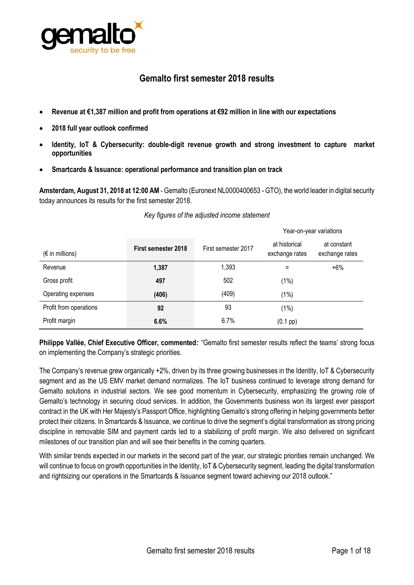

# **Gemalto first semester 2018 results**

- **Revenue at €1,387 million and profit from operations at €92 million in line with our expectations**
- **2018 full year outlook confirmed**
- **Identity, IoT & Cybersecurity: double-digit revenue growth and strong investment to capture market opportunities**
- **Smartcards & Issuance: operational performance and transition plan on track**

**Amsterdam, August 31, 2018 at 12:00 AM**- Gemalto (Euronext NL0000400653 - GTO), the world leader in digital security today announces its results for the first semester 2018.

|                          |                     |                     |                                 | rear-ori-year variations      |
|--------------------------|---------------------|---------------------|---------------------------------|-------------------------------|
| $(\epsilon$ in millions) | First semester 2018 | First semester 2017 | at historical<br>exchange rates | at constant<br>exchange rates |
| Revenue                  | 1,387               | 1,393               | Ξ                               | $+6%$                         |
| Gross profit             | 497                 | 502                 | $(1\%)$                         |                               |
| Operating expenses       | (406)               | (409)               | $(1\%)$                         |                               |
| Profit from operations   | 92                  | 93                  | $(1\%)$                         |                               |
| Profit margin            | 6.6%                | 6.7%                | $(0.1$ pp $)$                   |                               |

#### *Key figures of the adjusted income statement*

**Philippe Vallée, Chief Executive Officer, commented***:* "Gemalto first semester results reflect the teams' strong focus on implementing the Company's strategic priorities.

The Company's revenue grew organically +2%, driven by its three growing businesses in the Identity, IoT & Cybersecurity segment and as the US EMV market demand normalizes. The IoT business continued to leverage strong demand for Gemalto solutions in industrial sectors. We see good momentum in Cybersecurity, emphasizing the growing role of Gemalto's technology in securing cloud services. In addition, the Governments business won its largest ever passport contract in the UK with Her Majesty's Passport Office, highlighting Gemalto's strong offering in helping governments better protect their citizens. In Smartcards & Issuance, we continue to drive the segment's digital transformation as strong pricing discipline in removable SIM and payment cards led to a stabilizing of profit margin. We also delivered on significant milestones of our transition plan and will see their benefits in the coming quarters.

With similar trends expected in our markets in the second part of the year, our strategic priorities remain unchanged. We will continue to focus on growth opportunities in the Identity, IoT & Cybersecurity segment, leading the digital transformation and rightsizing our operations in the Smartcards & Issuance segment toward achieving our 2018 outlook."

Year-on-year variations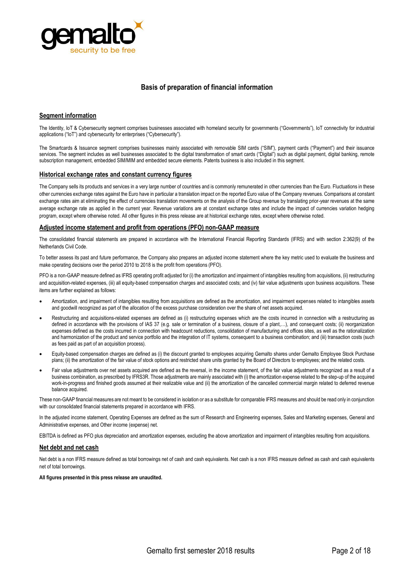

#### **Basis of preparation of financial information**

#### **Segment information**

The Identity, IoT & Cybersecurity segment comprises businesses associated with homeland security for governments ("Governments"), IoT connectivity for industrial applications ("IoT") and cybersecurity for enterprises ("Cybersecurity").

The Smartcards & Issuance segment comprises businesses mainly associated with removable SIM cards ("SIM"), payment cards ("Payment") and their issuance services. The segment includes as well businesses associated to the digital transformation of smart cards ("Digital") such as digital payment, digital banking, remote subscription management, embedded SIM/MIM and embedded secure elements. Patents business is also included in this segment.

#### **Historical exchange rates and constant currency figures**

The Company sells its products and services in a very large number of countries and is commonly remunerated in other currencies than the Euro. Fluctuations in these other currencies exchange rates against the Euro have in particular a translation impact on the reported Euro value of the Company revenues. Comparisons at constant exchange rates aim at eliminating the effect of currencies translation movements on the analysis of the Group revenue by translating prior-year revenues at the same average exchange rate as applied in the current year. Revenue variations are at constant exchange rates and include the impact of currencies variation hedging program, except where otherwise noted. All other figures in this press release are at historical exchange rates, except where otherwise noted.

#### **Adjusted income statement and profit from operations (PFO) non-GAAP measure**

The consolidated financial statements are prepared in accordance with the International Financial Reporting Standards (IFRS) and with section 2:362(9) of the Netherlands Civil Code.

To better assess its past and future performance, the Company also prepares an adjusted income statement where the key metric used to evaluate the business and make operating decisions over the period 2010 to 2018 is the profit from operations (PFO).

PFO is a non-GAAP measure defined as IFRS operating profit adjusted for (i) the amortization and impairment of intangibles resulting from acquisitions, (ii) restructuring and acquisition-related expenses, (iii) all equity-based compensation charges and associated costs; and (iv) fair value adjustments upon business acquisitions. These items are further explained as follows:

- Amortization, and impairment of intangibles resulting from acquisitions are defined as the amortization, and impairment expenses related to intangibles assets and goodwill recognized as part of the allocation of the excess purchase consideration over the share of net assets acquired.
- Restructuring and acquisitions-related expenses are defined as (i) restructuring expenses which are the costs incurred in connection with a restructuring as defined in accordance with the provisions of IAS 37 (e.g. sale or termination of a business, closure of a plant,…), and consequent costs; (ii) reorganization expenses defined as the costs incurred in connection with headcount reductions, consolidation of manufacturing and offices sites, as well as the rationalization and harmonization of the product and service portfolio and the integration of IT systems, consequent to a business combination; and (iii) transaction costs (such as fees paid as part of an acquisition process).
- Equity-based compensation charges are defined as (i) the discount granted to employees acquiring Gemalto shares under Gemalto Employee Stock Purchase plans; (ii) the amortization of the fair value of stock options and restricted share units granted by the Board of Directors to employees; and the related costs.
- Fair value adjustments over net assets acquired are defined as the reversal, in the income statement, of the fair value adjustments recognized as a result of a business combination, as prescribed by IFRS3R. Those adjustments are mainly associated with (i) the amortization expense related to the step-up of the acquired work-in-progress and finished goods assumed at their realizable value and (ii) the amortization of the cancelled commercial margin related to deferred revenue balance acquired.

These non-GAAP financial measures are not meant to be considered in isolation or as a substitute for comparable IFRS measures and should be read only in conjunction with our consolidated financial statements prepared in accordance with IFRS.

In the adjusted income statement, Operating Expenses are defined as the sum of Research and Engineering expenses, Sales and Marketing expenses, General and Administrative expenses, and Other income (expense) net.

EBITDA is defined as PFO plus depreciation and amortization expenses, excluding the above amortization and impairment of intangibles resulting from acquisitions.

#### **Net debt and net cash**

Net debt is a non IFRS measure defined as total borrowings net of cash and cash equivalents. Net cash is a non IFRS measure defined as cash and cash equivalents net of total borrowings.

#### **All figures presented in this press release are unaudited.**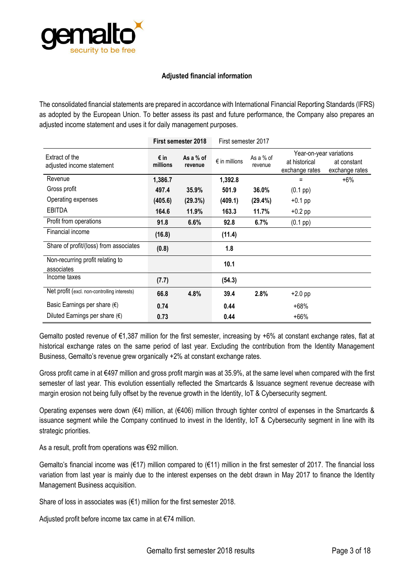

### **Adjusted financial information**

The consolidated financial statements are prepared in accordance with International Financial Reporting Standards (IFRS) as adopted by the European Union. To better assess its past and future performance, the Company also prepares an adjusted income statement and uses it for daily management purposes.

|                                                |                  | First semester 2018    | First semester 2017    |                      |                                                            |                               |
|------------------------------------------------|------------------|------------------------|------------------------|----------------------|------------------------------------------------------------|-------------------------------|
| Extract of the<br>adjusted income statement    | € in<br>millions | As a $%$ of<br>revenue | $\epsilon$ in millions | As a % of<br>revenue | Year-on-year variations<br>at historical<br>exchange rates | at constant<br>exchange rates |
| Revenue                                        | 1,386.7          |                        | 1,392.8                |                      | Ξ                                                          | $+6\%$                        |
| Gross profit                                   | 497.4            | 35.9%                  | 501.9                  | 36.0%                | $(0.1 \text{ pp})$                                         |                               |
| Operating expenses                             | (405.6)          | (29.3%)                | (409.1)                | (29.4%)              | $+0.1$ pp                                                  |                               |
| EBITDA                                         | 164.6            | 11.9%                  | 163.3                  | 11.7%                | $+0.2$ pp                                                  |                               |
| Profit from operations                         | 91.8             | 6.6%                   | 92.8                   | 6.7%                 | $(0.1~{\rm pp})$                                           |                               |
| Financial income                               | (16.8)           |                        | (11.4)                 |                      |                                                            |                               |
| Share of profit/(loss) from associates         | (0.8)            |                        | 1.8                    |                      |                                                            |                               |
| Non-recurring profit relating to<br>associates |                  |                        | 10.1                   |                      |                                                            |                               |
| Income taxes                                   | (7.7)            |                        | (54.3)                 |                      |                                                            |                               |
| Net profit (excl. non-controlling interests)   | 66.8             | 4.8%                   | 39.4                   | 2.8%                 | $+2.0$ pp                                                  |                               |
| Basic Earnings per share $(\epsilon)$          | 0.74             |                        | 0.44                   |                      | $+68%$                                                     |                               |
| Diluted Earnings per share $(\epsilon)$        | 0.73             |                        | 0.44                   |                      | $+66%$                                                     |                               |

Gemalto posted revenue of €1,387 million for the first semester, increasing by +6% at constant exchange rates, flat at historical exchange rates on the same period of last year. Excluding the contribution from the Identity Management Business, Gemalto's revenue grew organically +2% at constant exchange rates.

Gross profit came in at €497 million and gross profit margin was at 35.9%, at the same level when compared with the first semester of last year. This evolution essentially reflected the Smartcards & Issuance segment revenue decrease with margin erosion not being fully offset by the revenue growth in the Identity, IoT & Cybersecurity segment.

Operating expenses were down (€4) million, at (€406) million through tighter control of expenses in the Smartcards & issuance segment while the Company continued to invest in the Identity, IoT & Cybersecurity segment in line with its strategic priorities.

As a result, profit from operations was €92 million.

Gemalto's financial income was (€17) million compared to (€11) million in the first semester of 2017. The financial loss variation from last year is mainly due to the interest expenses on the debt drawn in May 2017 to finance the Identity Management Business acquisition.

Share of loss in associates was  $(€1)$  million for the first semester 2018.

Adjusted profit before income tax came in at €74 million.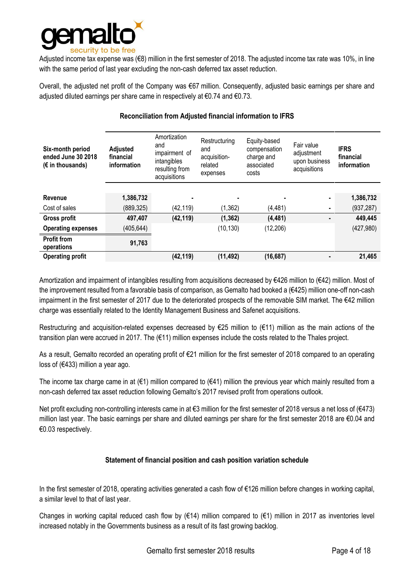

Adjusted income tax expense was (€8) million in the first semester of 2018. The adjusted income tax rate was 10%, in line with the same period of last year excluding the non-cash deferred tax asset reduction.

Overall, the adjusted net profit of the Company was €67 million. Consequently, adjusted basic earnings per share and adjusted diluted earnings per share came in respectively at €0.74 and €0.73.

| Six-month period<br>ended June 30 2018<br>$(E \in \mathbb{R})$ in thousands) | <b>Adjusted</b><br>financial<br>information | Amortization<br>and<br>impairment of<br>intangibles<br>resulting from<br>acquisitions | Restructuring<br>and<br>acquisition-<br>related<br>expenses | Equity-based<br>compensation<br>charge and<br>associated<br>costs | Fair value<br>adjustment<br>upon business<br>acquisitions | <b>IFRS</b><br>financial<br>information |
|------------------------------------------------------------------------------|---------------------------------------------|---------------------------------------------------------------------------------------|-------------------------------------------------------------|-------------------------------------------------------------------|-----------------------------------------------------------|-----------------------------------------|
| Revenue                                                                      | 1,386,732                                   | ٠                                                                                     | ٠                                                           |                                                                   |                                                           | 1,386,732                               |
| Cost of sales                                                                | (889, 325)                                  | (42, 119)                                                                             | (1, 362)                                                    | (4, 481)                                                          |                                                           | (937, 287)                              |
| <b>Gross profit</b>                                                          | 497,407                                     | (42, 119)                                                                             | (1, 362)                                                    | (4, 481)                                                          |                                                           | 449,445                                 |
| <b>Operating expenses</b>                                                    | (405, 644)                                  |                                                                                       | (10, 130)                                                   | (12, 206)                                                         |                                                           | (427, 980)                              |
| <b>Profit from</b><br>operations                                             | 91,763                                      |                                                                                       |                                                             |                                                                   |                                                           |                                         |
| <b>Operating profit</b>                                                      |                                             | (42, 119)                                                                             | (11, 492)                                                   | (16, 687)                                                         |                                                           | 21,465                                  |

### **Reconciliation from Adjusted financial information to IFRS**

Amortization and impairment of intangibles resulting from acquisitions decreased by €426 million to (€42) million. Most of the improvement resulted from a favorable basis of comparison, as Gemalto had booked a (€425) million one-off non-cash impairment in the first semester of 2017 due to the deteriorated prospects of the removable SIM market. The  $\epsilon$ 42 million charge was essentially related to the Identity Management Business and Safenet acquisitions.

Restructuring and acquisition-related expenses decreased by €25 million to (€11) million as the main actions of the transition plan were accrued in 2017. The (€11) million expenses include the costs related to the Thales project.

As a result, Gemalto recorded an operating profit of €21 million for the first semester of 2018 compared to an operating loss of (€433) million a year ago.

The income tax charge came in at  $(\epsilon 1)$  million compared to  $(\epsilon 41)$  million the previous year which mainly resulted from a non-cash deferred tax asset reduction following Gemalto's 2017 revised profit from operations outlook.

Net profit excluding non-controlling interests came in at €3 million for the first semester of 2018 versus a net loss of (€473) million last year. The basic earnings per share and diluted earnings per share for the first semester 2018 are €0.04 and €0.03 respectively.

## **Statement of financial position and cash position variation schedule**

In the first semester of 2018, operating activities generated a cash flow of €126 million before changes in working capital, a similar level to that of last year.

Changes in working capital reduced cash flow by ( $\epsilon$ 14) million compared to ( $\epsilon$ 1) million in 2017 as inventories level increased notably in the Governments business as a result of its fast growing backlog.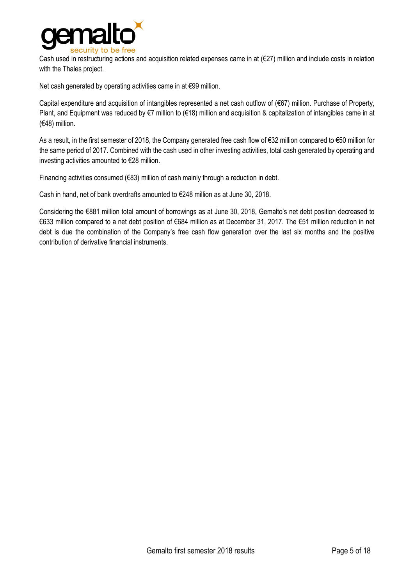

Cash used in restructuring actions and acquisition related expenses came in at  $(E27)$  million and include costs in relation with the Thales project.

Net cash generated by operating activities came in at €99 million.

Capital expenditure and acquisition of intangibles represented a net cash outflow of (€67) million. Purchase of Property, Plant, and Equipment was reduced by €7 million to (€18) million and acquisition & capitalization of intangibles came in at (€48) million.

As a result, in the first semester of 2018, the Company generated free cash flow of €32 million compared to €50 million for the same period of 2017. Combined with the cash used in other investing activities, total cash generated by operating and investing activities amounted to €28 million.

Financing activities consumed (€83) million of cash mainly through a reduction in debt.

Cash in hand, net of bank overdrafts amounted to €248 million as at June 30, 2018.

Considering the €881 million total amount of borrowings as at June 30, 2018, Gemalto's net debt position decreased to €633 million compared to a net debt position of €684 million as at December 31, 2017. The €51 million reduction in net debt is due the combination of the Company's free cash flow generation over the last six months and the positive contribution of derivative financial instruments.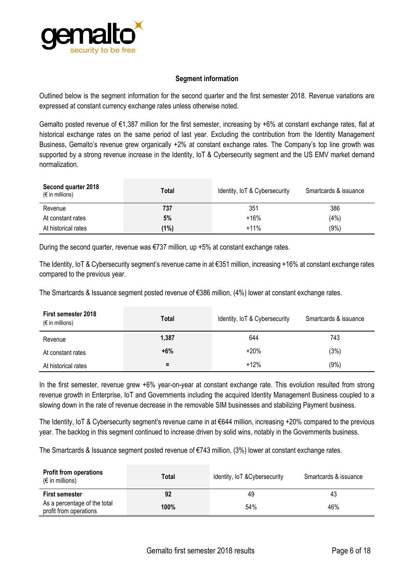

### **Segment information**

Outlined below is the segment information for the second quarter and the first semester 2018. Revenue variations are expressed at constant currency exchange rates unless otherwise noted.

Gemalto posted revenue of €1,387 million for the first semester, increasing by +6% at constant exchange rates, flat at historical exchange rates on the same period of last year. Excluding the contribution from the Identity Management Business, Gemalto's revenue grew organically +2% at constant exchange rates. The Company's top line growth was supported by a strong revenue increase in the Identity, IoT & Cybersecurity segment and the US EMV market demand normalization.

| Second quarter 2018<br>$(\epsilon$ in millions) | Total | Identity, IoT & Cybersecurity | Smartcards & issuance |
|-------------------------------------------------|-------|-------------------------------|-----------------------|
| Revenue                                         | 737   | 351                           | 386                   |
| At constant rates                               | 5%    | $+16%$                        | (4%)                  |
| At historical rates                             | (1%)  | $+11%$                        | (9% )                 |

During the second quarter, revenue was  $\epsilon$ 737 million, up +5% at constant exchange rates.

The Identity, IoT & Cybersecurity segment's revenue came in at €351 million, increasing +16% at constant exchange rates compared to the previous year.

The Smartcards & Issuance segment posted revenue of €386 million, (4%) lower at constant exchange rates.

| <b>First semester 2018</b><br>$(\epsilon$ in millions) | Total | Identity, IoT & Cybersecurity | Smartcards & issuance |
|--------------------------------------------------------|-------|-------------------------------|-----------------------|
| Revenue                                                | 1,387 | 644                           | 743                   |
| At constant rates                                      | $+6%$ | $+20%$                        | (3%)                  |
| At historical rates                                    | Ξ.    | $+12%$                        | (9% )                 |

In the first semester, revenue grew +6% year-on-year at constant exchange rate. This evolution resulted from strong revenue growth in Enterprise, IoT and Governments including the acquired Identity Management Business coupled to a slowing down in the rate of revenue decrease in the removable SIM businesses and stabilizing Payment business.

The Identity, IoT & Cybersecurity segment's revenue came in at €644 million, increasing +20% compared to the previous year. The backlog in this segment continued to increase driven by solid wins, notably in the Governments business.

The Smartcards & Issuance segment posted revenue of €743 million, (3%) lower at constant exchange rates.

| <b>Profit from operations</b><br>$(\epsilon$ in millions) | Total | Identity, IoT & Cybersecurity | Smartcards & issuance |
|-----------------------------------------------------------|-------|-------------------------------|-----------------------|
| <b>First semester</b>                                     | 92    | 49                            | 43                    |
| As a percentage of the total<br>profit from operations    | 100%  | 54%                           | 46%                   |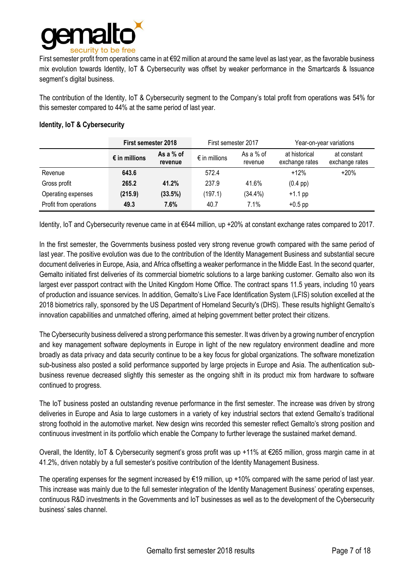

First semester profit from operations came in at €92 million at around the same level as last year, as the favorable business mix evolution towards Identity, IoT & Cybersecurity was offset by weaker performance in the Smartcards & Issuance segment's digital business.

The contribution of the Identity, IoT & Cybersecurity segment to the Company's total profit from operations was 54% for this semester compared to 44% at the same period of last year.

#### **Identity, IoT & Cybersecurity**

|                        | <b>First semester 2018</b> |                        | First semester 2017    |                      |                                 | Year-on-year variations       |  |
|------------------------|----------------------------|------------------------|------------------------|----------------------|---------------------------------|-------------------------------|--|
|                        | $\epsilon$ in millions     | As a $%$ of<br>revenue | $\epsilon$ in millions | As a % of<br>revenue | at historical<br>exchange rates | at constant<br>exchange rates |  |
| Revenue                | 643.6                      |                        | 572.4                  |                      | $+12%$                          | $+20%$                        |  |
| Gross profit           | 265.2                      | 41.2%                  | 237.9                  | 41.6%                | $(0.4 \text{ pp})$              |                               |  |
| Operating expenses     | (215.9)                    | (33.5%)                | (197.1)                | $(34.4\%)$           | $+1.1$ pp                       |                               |  |
| Profit from operations | 49.3                       | 7.6%                   | 40.7                   | 7.1%                 | $+0.5$ pp                       |                               |  |

Identity, IoT and Cybersecurity revenue came in at €644 million, up +20% at constant exchange rates compared to 2017.

In the first semester, the Governments business posted very strong revenue growth compared with the same period of last year. The positive evolution was due to the contribution of the Identity Management Business and substantial secure document deliveries in Europe, Asia, and Africa offsetting a weaker performance in the Middle East. In the second quarter, Gemalto initiated first deliveries of its commercial biometric solutions to a large banking customer. Gemalto also won its largest ever passport contract with the United Kingdom Home Office. The contract spans 11.5 years, including 10 years of production and issuance services. In addition, Gemalto's Live Face Identification System (LFIS) solution excelled at the 2018 biometrics rally, sponsored by the US Department of Homeland Security's (DHS). These results highlight Gemalto's innovation capabilities and unmatched offering, aimed at helping government better protect their citizens.

The Cybersecurity business delivered a strong performance this semester. It was driven by a growing number of encryption and key management software deployments in Europe in light of the new regulatory environment deadline and more broadly as data privacy and [data security](https://safenet.gemalto.com/cloud-data-security/) continue to be a key focus for global organizations. The software monetization sub-business also posted a solid performance supported by large projects in Europe and Asia. The authentication subbusiness revenue decreased slightly this semester as the ongoing shift in its product mix from hardware to software continued to progress.

The IoT business posted an outstanding revenue performance in the first semester. The increase was driven by strong deliveries in Europe and Asia to large customers in a variety of key industrial sectors that extend Gemalto's traditional strong foothold in the automotive market. New design wins recorded this semester reflect Gemalto's strong position and continuous investment in its portfolio which enable the Company to further leverage the sustained market demand.

Overall, the Identity, IoT & Cybersecurity segment's gross profit was up +11% at €265 million, gross margin came in at 41.2%, driven notably by a full semester's positive contribution of the Identity Management Business.

The operating expenses for the segment increased by  $\epsilon$ 19 million, up +10% compared with the same period of last year. This increase was mainly due to the full semester integration of the Identity Management Business' operating expenses, continuous R&D investments in the Governments and IoT businesses as well as to the development of the Cybersecurity business' sales channel.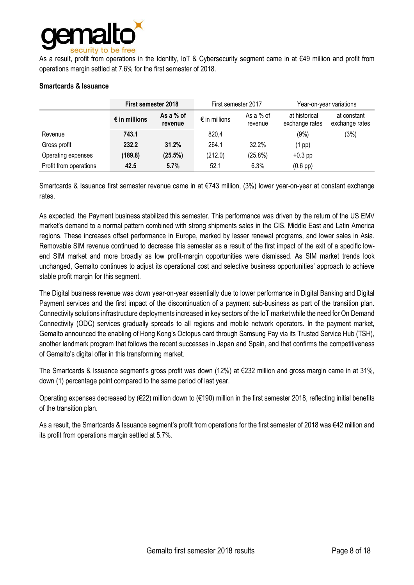

As a result, profit from operations in the Identity, IoT & Cybersecurity segment came in at €49 million and profit from operations margin settled at 7.6% for the first semester of 2018.

|  | <b>Smartcards &amp; Issuance</b> |
|--|----------------------------------|
|--|----------------------------------|

|                        | <b>First semester 2018</b> |                        | First semester 2017    |                      | Year-on-year variations         |                               |
|------------------------|----------------------------|------------------------|------------------------|----------------------|---------------------------------|-------------------------------|
|                        | $\epsilon$ in millions     | As a $%$ of<br>revenue | $\epsilon$ in millions | As a % of<br>revenue | at historical<br>exchange rates | at constant<br>exchange rates |
| Revenue                | 743.1                      |                        | 820,4                  |                      | (9% )                           | (3%)                          |
| Gross profit           | 232.2                      | 31.2%                  | 264.1                  | 32.2%                | $(1$ pp)                        |                               |
| Operating expenses     | (189.8)                    | (25.5%)                | (212.0)                | $(25.8\%)$           | $+0.3$ pp                       |                               |
| Profit from operations | 42.5                       | 5.7%                   | 52.1                   | 6.3%                 | $(0.6$ pp)                      |                               |

Smartcards & Issuance first semester revenue came in at €743 million, (3%) lower year-on-year at constant exchange rates.

As expected, the Payment business stabilized this semester. This performance was driven by the return of the US EMV market's demand to a normal pattern combined with strong shipments sales in the CIS, Middle East and Latin America regions. These increases offset performance in Europe, marked by lesser renewal programs, and lower sales in Asia. Removable SIM revenue continued to decrease this semester as a result of the first impact of the exit of a specific lowend SIM market and more broadly as low profit-margin opportunities were dismissed. As SIM market trends look unchanged, Gemalto continues to adjust its operational cost and selective business opportunities' approach to achieve stable profit margin for this segment.

The Digital business revenue was down year-on-year essentially due to lower performance in Digital Banking and Digital Payment services and the first impact of the discontinuation of a payment sub-business as part of the transition plan. Connectivity solutions infrastructure deployments increased in key sectors of the IoT market while the need for On Demand Connectivity (ODC) services gradually spreads to all regions and mobile network operators. In the payment market, Gemalto announced the enabling of Hong Kong's Octopus card through Samsung Pay via its Trusted Service Hub (TSH), another landmark program that follows the recent successes in Japan and Spain, and that confirms the competitiveness of Gemalto's digital offer in this transforming market.

The Smartcards & Issuance segment's gross profit was down (12%) at €232 million and gross margin came in at 31%, down (1) percentage point compared to the same period of last year.

Operating expenses decreased by (€22) million down to (€190) million in the first semester 2018, reflecting initial benefits of the transition plan.

As a result, the Smartcards & Issuance segment's profit from operations for the first semester of 2018 was €42 million and its profit from operations margin settled at 5.7%.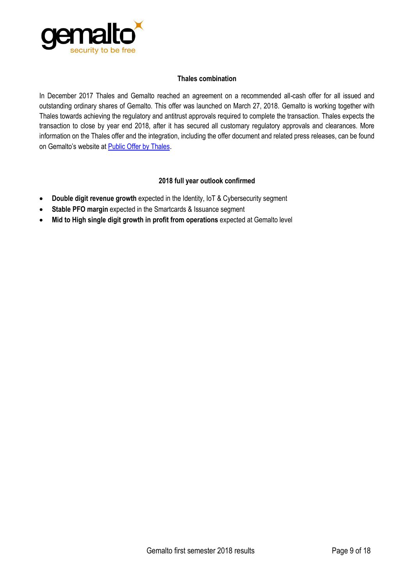

### **Thales combination**

In December 2017 Thales and Gemalto reached an agreement on a recommended all-cash offer for all issued and outstanding ordinary shares of Gemalto. This offer was launched on March 27, 2018. Gemalto is working together with Thales towards achieving the regulatory and antitrust approvals required to complete the transaction. Thales expects the transaction to close by year end 2018, after it has secured all customary regulatory approvals and clearances. More information on the Thales offer and the integration, including the offer document and related press releases, can be found on Gemalto's website at [Public Offer by Thales](https://www.gemalto.com/investors/public-offer).

### **2018 full year outlook confirmed**

- **Double digit revenue growth** expected in the Identity, IoT & Cybersecurity segment
- **Stable PFO margin** expected in the Smartcards & Issuance segment
- **Mid to High single digit growth in profit from operations** expected at Gemalto level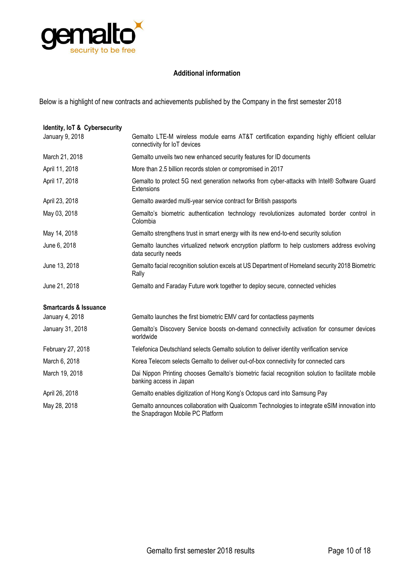

### **Additional information**

Below is a highlight of new contracts and achievements published by the Company in the first semester 2018

| Identity, IoT & Cybersecurity    |                                                                                                                                   |
|----------------------------------|-----------------------------------------------------------------------------------------------------------------------------------|
| January 9, 2018                  | Gemalto LTE-M wireless module earns AT&T certification expanding highly efficient cellular<br>connectivity for IoT devices        |
| March 21, 2018                   | Gemalto unveils two new enhanced security features for ID documents                                                               |
| April 11, 2018                   | More than 2.5 billion records stolen or compromised in 2017                                                                       |
| April 17, 2018                   | Gemalto to protect 5G next generation networks from cyber-attacks with Intel® Software Guard<br>Extensions                        |
| April 23, 2018                   | Gemalto awarded multi-year service contract for British passports                                                                 |
| May 03, 2018                     | Gemalto's biometric authentication technology revolutionizes automated border control in<br>Colombia                              |
| May 14, 2018                     | Gemalto strengthens trust in smart energy with its new end-to-end security solution                                               |
| June 6, 2018                     | Gemalto launches virtualized network encryption platform to help customers address evolving<br>data security needs                |
| June 13, 2018                    | Gemalto facial recognition solution excels at US Department of Homeland security 2018 Biometric<br>Rally                          |
| June 21, 2018                    | Gemalto and Faraday Future work together to deploy secure, connected vehicles                                                     |
| <b>Smartcards &amp; Issuance</b> |                                                                                                                                   |
| January 4, 2018                  | Gemalto launches the first biometric EMV card for contactless payments                                                            |
| January 31, 2018                 | Gemalto's Discovery Service boosts on-demand connectivity activation for consumer devices<br>worldwide                            |
| February 27, 2018                | Telefonica Deutschland selects Gemalto solution to deliver identity verification service                                          |
| March 6, 2018                    | Korea Telecom selects Gemalto to deliver out-of-box connectivity for connected cars                                               |
| March 19, 2018                   | Dai Nippon Printing chooses Gemalto's biometric facial recognition solution to facilitate mobile<br>banking access in Japan       |
| April 26, 2018                   | Gemalto enables digitization of Hong Kong's Octopus card into Samsung Pay                                                         |
| May 28, 2018                     | Gemalto announces collaboration with Qualcomm Technologies to integrate eSIM innovation into<br>the Snapdragon Mobile PC Platform |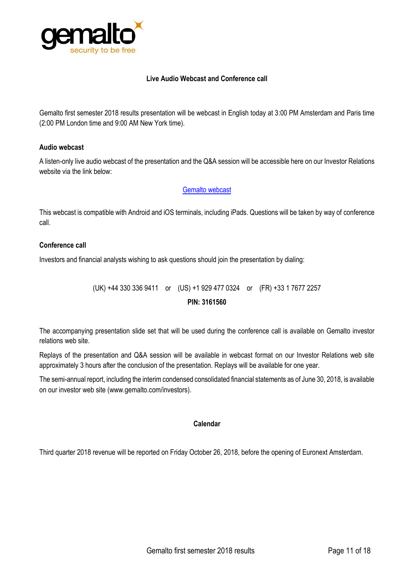

### **Live Audio Webcast and Conference call**

Gemalto first semester 2018 results presentation will be webcast in English today at 3:00 PM Amsterdam and Paris time (2:00 PM London time and 9:00 AM New York time).

#### **Audio webcast**

A listen-only live audio webcast of the presentation and the Q&A session will be accessible here on our Investor Relations website via the link below:

### [Gemalto webcast](https://edge.media-server.com/m6/p/36djwsjf)

This webcast is compatible with Android and iOS terminals, including iPads. Questions will be taken by way of conference call.

### **Conference call**

Investors and financial analysts wishing to ask questions should join the presentation by dialing:

(UK) +44 330 336 9411 or (US) +1 929 477 0324 or (FR) +33 1 7677 2257 **PIN: 3161560**

The accompanying presentation slide set that will be used during the conference call is available on Gemalto investor relations web site.

Replays of the presentation and Q&A session will be available in webcast format on our Investor Relations web site approximately 3 hours after the conclusion of the presentation. Replays will be available for one year.

The semi-annual report, including the interim condensed consolidated financial statements as of June 30, 2018, is available on our investor web site [\(www.gemalto.com/investors\)](http://www.gemalto.com/investors).

### **Calendar**

Third quarter 2018 revenue will be reported on Friday October 26, 2018, before the opening of Euronext Amsterdam.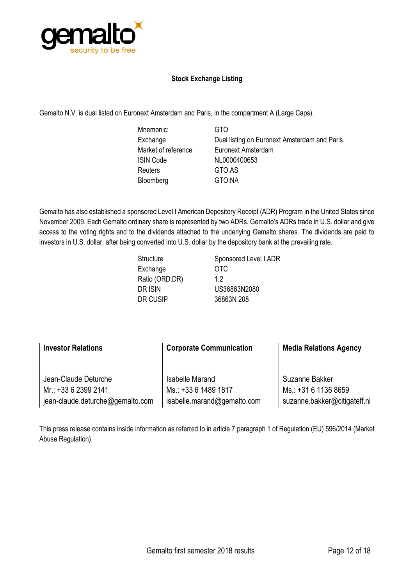

## **Stock Exchange Listing**

Gemalto N.V. is dual listed on Euronext Amsterdam and Paris, in the compartment A (Large Caps).

Mnemonic: GTO ISIN Code NL0000400653 Reuters GTO.AS Bloomberg GTO:NA

Exchange **Dual listing on Euronext Amsterdam and Paris** Market of reference Euronext Amsterdam

Gemalto has also established a sponsored Level I American Depository Receipt (ADR) Program in the United States since November 2009. Each Gemalto ordinary share is represented by two ADRs. Gemalto's ADRs trade in U.S. dollar and give access to the voting rights and to the dividends attached to the underlying Gemalto shares. The dividends are paid to investors in U.S. dollar, after being converted into U.S. dollar by the depository bank at the prevailing rate.

| Structure      | Sponsored Level I ADR |
|----------------|-----------------------|
| Exchange       | 0TC                   |
| Ratio (ORD:DR) | 1.2                   |
| DR ISIN        | US36863N2080          |
| DR CUSIP       | 36863N 208            |
|                |                       |

| <b>Investor Relations</b>        | <b>Corporate Communication</b> | <b>Media Relations Agency</b> |  |
|----------------------------------|--------------------------------|-------------------------------|--|
| Jean-Claude Deturche             | <b>Isabelle Marand</b>         | Suzanne Bakker                |  |
| Mr.: +33 6 2399 2141             | Ms.: +33 6 1489 1817           | Ms.: +31 6 1136 8659          |  |
| jean-claude.deturche@gemalto.com | isabelle.marand@gemalto.com    | suzanne.bakker@citigateff.nl  |  |

This press release contains inside information as referred to in article 7 paragraph 1 of Regulation (EU) 596/2014 (Market Abuse Regulation).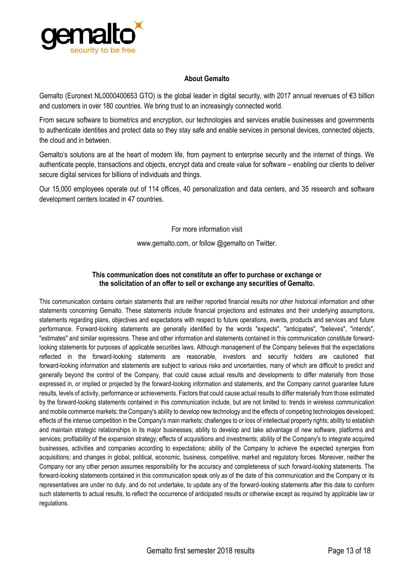

### **About Gemalto**

Gemalto (Euronext NL0000400653 GTO) is the global leader in digital security, with 2017 annual revenues of €3 billion and customers in over 180 countries. We bring trust to an increasingly connected world.

From secure software to biometrics and encryption, our technologies and services enable businesses and governments to authenticate identities and protect data so they stay safe and enable services in personal devices, connected objects, the cloud and in between.

Gemalto's solutions are at the heart of modern life, from payment to enterprise security and the internet of things. We authenticate people, transactions and objects, encrypt data and create value for software – enabling our clients to deliver secure digital services for billions of individuals and things.

Our 15,000 employees operate out of 114 offices, 40 personalization and data centers, and 35 research and software development centers located in 47 countries.

For more information visit

[www.gemalto.com,](http://www.gemalto.com/) or follow @gemalto on Twitter.

### **This communication does not constitute an offer to purchase or exchange or the solicitation of an offer to sell or exchange any securities of Gemalto.**

This communication contains certain statements that are neither reported financial results nor other historical information and other statements concerning Gemalto. These statements include financial projections and estimates and their underlying assumptions, statements regarding plans, objectives and expectations with respect to future operations, events, products and services and future performance. Forward-looking statements are generally identified by the words "expects", "anticipates", "believes", "intends", "estimates" and similar expressions. These and other information and statements contained in this communication constitute forwardlooking statements for purposes of applicable securities laws. Although management of the Company believes that the expectations reflected in the forward-looking statements are reasonable, investors and security holders are cautioned that forward-looking information and statements are subject to various risks and uncertainties, many of which are difficult to predict and generally beyond the control of the Company, that could cause actual results and developments to differ materially from those expressed in, or implied or projected by the forward-looking information and statements, and the Company cannot guarantee future results, levels of activity, performance or achievements. Factors that could cause actual results to differ materially from those estimated by the forward-looking statements contained in this communication include, but are not limited to: trends in wireless communication and mobile commerce markets; the Company's ability to develop new technology and the effects of competing technologies developed; effects of the intense competition in the Company's main markets; challenges to or loss of intellectual property rights; ability to establish and maintain strategic relationships in its major businesses; ability to develop and take advantage of new software, platforms and services; profitability of the expansion strategy; effects of acquisitions and investments; ability of the Company's to integrate acquired businesses, activities and companies according to expectations; ability of the Company to achieve the expected synergies from acquisitions; and changes in global, political, economic, business, competitive, market and regulatory forces. Moreover, neither the Company nor any other person assumes responsibility for the accuracy and completeness of such forward-looking statements. The forward-looking statements contained in this communication speak only as of the date of this communication and the Company or its representatives are under no duty, and do not undertake, to update any of the forward-looking statements after this date to conform such statements to actual results, to reflect the occurrence of anticipated results or otherwise except as required by applicable law or regulations.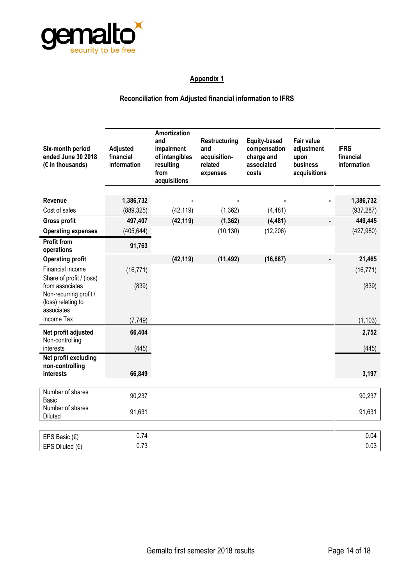

## **Reconciliation from Adjusted financial information to IFRS**

| Six-month period<br>ended June 30 2018<br>(€ in thousands)                                                | Adjusted<br>financial<br>information | Amortization<br>and<br>impairment<br>of intangibles<br>resulting<br>from<br>acquisitions | Restructuring<br>and<br>acquisition-<br>related<br>expenses | <b>Equity-based</b><br>compensation<br>charge and<br>associated<br>costs | <b>Fair value</b><br>adjustment<br>upon<br>business<br>acquisitions | <b>IFRS</b><br>financial<br>information |
|-----------------------------------------------------------------------------------------------------------|--------------------------------------|------------------------------------------------------------------------------------------|-------------------------------------------------------------|--------------------------------------------------------------------------|---------------------------------------------------------------------|-----------------------------------------|
| Revenue                                                                                                   | 1,386,732                            |                                                                                          |                                                             |                                                                          |                                                                     | 1,386,732                               |
| Cost of sales                                                                                             | (889, 325)                           | (42, 119)                                                                                | (1, 362)                                                    | (4, 481)                                                                 |                                                                     | (937, 287)                              |
| <b>Gross profit</b>                                                                                       | 497,407                              | (42, 119)                                                                                | (1, 362)                                                    | (4, 481)                                                                 | ä,                                                                  | 449,445                                 |
| <b>Operating expenses</b>                                                                                 | (405, 644)                           |                                                                                          | (10, 130)                                                   | (12, 206)                                                                |                                                                     | (427, 980)                              |
| <b>Profit from</b><br>operations                                                                          | 91,763                               |                                                                                          |                                                             |                                                                          |                                                                     |                                         |
| <b>Operating profit</b>                                                                                   |                                      | (42, 119)                                                                                | (11, 492)                                                   | (16, 687)                                                                | $\qquad \qquad \blacksquare$                                        | 21,465                                  |
| Financial income                                                                                          | (16, 771)                            |                                                                                          |                                                             |                                                                          |                                                                     | (16, 771)                               |
| Share of profit / (loss)<br>from associates<br>Non-recurring profit /<br>(loss) relating to<br>associates | (839)                                |                                                                                          |                                                             |                                                                          |                                                                     | (839)                                   |
| Income Tax                                                                                                | (7, 749)                             |                                                                                          |                                                             |                                                                          |                                                                     | (1, 103)                                |
| Net profit adjusted<br>Non-controlling<br>interests                                                       | 66,404<br>(445)                      |                                                                                          |                                                             |                                                                          |                                                                     | 2,752<br>(445)                          |
| Net profit excluding<br>non-controlling<br>interests                                                      | 66,849                               |                                                                                          |                                                             |                                                                          |                                                                     | 3,197                                   |
| Number of shares<br>Basic                                                                                 | 90,237                               |                                                                                          |                                                             |                                                                          |                                                                     | 90,237                                  |
| Number of shares<br><b>Diluted</b>                                                                        | 91,631                               |                                                                                          |                                                             |                                                                          |                                                                     | 91,631                                  |
|                                                                                                           |                                      |                                                                                          |                                                             |                                                                          |                                                                     |                                         |
| EPS Basic $(\epsilon)$                                                                                    | 0.74                                 |                                                                                          |                                                             |                                                                          |                                                                     | 0.04                                    |
| EPS Diluted $(€)$                                                                                         | 0.73                                 |                                                                                          |                                                             |                                                                          |                                                                     | 0.03                                    |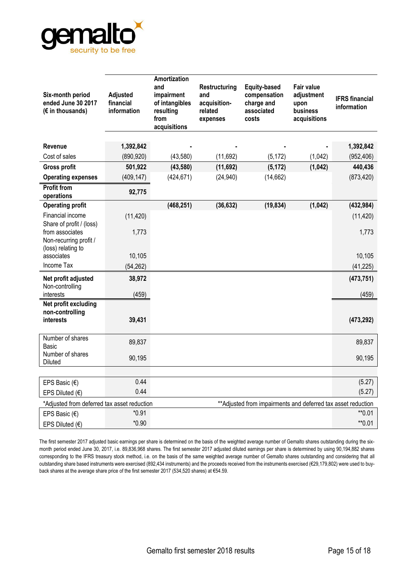

| Six-month period<br>ended June 30 2017<br>$(E \in \mathcal{L})$ in thousands) | Adjusted<br>financial<br>information | Amortization<br>and<br>impairment<br>of intangibles<br>resulting<br>from<br>acquisitions | Restructuring<br>and<br>acquisition-<br>related<br>expenses | <b>Equity-based</b><br>compensation<br>charge and<br>associated<br>costs | <b>Fair value</b><br>adjustment<br>upon<br>business<br>acquisitions | <b>IFRS</b> financial<br>information |
|-------------------------------------------------------------------------------|--------------------------------------|------------------------------------------------------------------------------------------|-------------------------------------------------------------|--------------------------------------------------------------------------|---------------------------------------------------------------------|--------------------------------------|
| <b>Revenue</b>                                                                | 1,392,842                            |                                                                                          |                                                             |                                                                          |                                                                     | 1,392,842                            |
| Cost of sales                                                                 | (890, 920)                           | (43,580)                                                                                 | (11,692)                                                    | (5, 172)                                                                 | (1,042)                                                             | (952, 406)                           |
| <b>Gross profit</b>                                                           | 501,922                              | (43, 580)                                                                                | (11, 692)                                                   | (5, 172)                                                                 | (1,042)                                                             | 440,436                              |
| <b>Operating expenses</b>                                                     | (409, 147)                           | (424, 671)                                                                               | (24, 940)                                                   | (14, 662)                                                                |                                                                     | (873, 420)                           |
| <b>Profit from</b><br>operations                                              | 92,775                               |                                                                                          |                                                             |                                                                          |                                                                     |                                      |
| <b>Operating profit</b>                                                       |                                      | (468, 251)                                                                               | (36, 632)                                                   | (19, 834)                                                                | (1,042)                                                             | (432, 984)                           |
| Financial income<br>Share of profit / (loss)                                  | (11, 420)                            |                                                                                          |                                                             |                                                                          |                                                                     | (11, 420)                            |
| from associates<br>Non-recurring profit /                                     | 1,773                                |                                                                                          |                                                             |                                                                          |                                                                     | 1,773                                |
| (loss) relating to<br>associates                                              | 10,105                               |                                                                                          |                                                             |                                                                          |                                                                     | 10,105                               |
| <b>Income Tax</b>                                                             | (54, 262)                            |                                                                                          |                                                             |                                                                          |                                                                     | (41, 225)                            |
| Net profit adjusted<br>Non-controlling                                        | 38,972                               |                                                                                          |                                                             |                                                                          |                                                                     | (473, 751)                           |
| interests                                                                     | (459)                                |                                                                                          |                                                             |                                                                          |                                                                     | (459)                                |
| Net profit excluding<br>non-controlling<br><i>interests</i>                   | 39,431                               |                                                                                          |                                                             |                                                                          |                                                                     | (473, 292)                           |
| Number of shares<br><b>Basic</b>                                              | 89,837                               |                                                                                          |                                                             |                                                                          |                                                                     | 89,837                               |
| Number of shares<br>Diluted                                                   | 90,195                               |                                                                                          |                                                             |                                                                          |                                                                     | 90,195                               |
|                                                                               |                                      |                                                                                          |                                                             |                                                                          |                                                                     |                                      |
| EPS Basic $(\epsilon)$                                                        | 0.44                                 |                                                                                          |                                                             |                                                                          |                                                                     | (5.27)                               |
| EPS Diluted $(\epsilon)$                                                      | 0.44                                 |                                                                                          |                                                             |                                                                          |                                                                     | (5.27)                               |
| *Adjusted from deferred tax asset reduction                                   |                                      |                                                                                          |                                                             | ** Adjusted from impairments and deferred tax asset reduction            |                                                                     |                                      |
| EPS Basic $(\epsilon)$                                                        | $*0.91$                              |                                                                                          |                                                             |                                                                          |                                                                     | $*$ 0.01                             |
| EPS Diluted $(\epsilon)$                                                      | $*0.90$                              |                                                                                          |                                                             |                                                                          |                                                                     | $*$ 0.01                             |

The first semester 2017 adjusted basic earnings per share is determined on the basis of the weighted average number of Gemalto shares outstanding during the sixmonth period ended June 30, 2017, i.e. 89,836,968 shares. The first semester 2017 adjusted diluted earnings per share is determined by using 90,194,882 shares corresponding to the IFRS treasury stock method, i.e. on the basis of the same weighted average number of Gemalto shares outstanding and considering that all outstanding share based instruments were exercised (892,434 instruments) and the proceeds received from the instruments exercised (€29,179,802) were used to buyback shares at the average share price of the first semester 2017 (534,520 shares) at €54.59.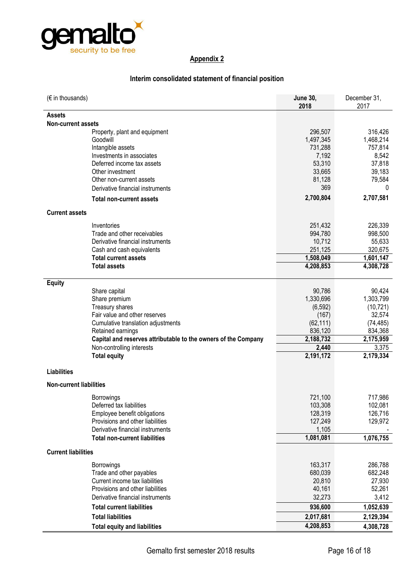

## **Interim consolidated statement of financial position**

| $(\epsilon$ in thousands)                                      | <b>June 30,</b><br>2018 | December 31,<br>2017 |
|----------------------------------------------------------------|-------------------------|----------------------|
| Assets                                                         |                         |                      |
| <b>Non-current assets</b>                                      |                         |                      |
| Property, plant and equipment                                  | 296,507                 | 316,426              |
| Goodwill                                                       | 1,497,345               | 1,468,214            |
| Intangible assets                                              | 731,288                 | 757,814              |
| Investments in associates                                      | 7,192                   | 8,542                |
| Deferred income tax assets                                     | 53,310                  | 37,818               |
| Other investment                                               | 33,665                  | 39,183               |
| Other non-current assets                                       | 81,128                  | 79,584               |
| Derivative financial instruments                               | 369                     | 0                    |
| <b>Total non-current assets</b>                                | 2,700,804               | 2,707,581            |
| <b>Current assets</b>                                          |                         |                      |
| Inventories                                                    | 251,432                 | 226,339              |
| Trade and other receivables                                    | 994,780                 | 998,500              |
| Derivative financial instruments                               | 10,712                  | 55,633               |
| Cash and cash equivalents                                      | 251,125                 | 320,675              |
| <b>Total current assets</b>                                    | 1,508,049               | 1,601,147            |
| <b>Total assets</b>                                            | 4,208,853               | 4,308,728            |
|                                                                |                         |                      |
| <b>Equity</b>                                                  |                         |                      |
| Share capital                                                  | 90,786                  | 90,424               |
| Share premium                                                  | 1,330,696               | 1,303,799            |
| Treasury shares                                                | (6, 592)                | (10, 721)            |
| Fair value and other reserves                                  | (167)                   | 32,574               |
| Cumulative translation adjustments                             | (62, 111)               | (74, 485)            |
| Retained earnings                                              | 836,120                 | 834,368              |
| Capital and reserves attributable to the owners of the Company | 2,188,732<br>2,440      | 2,175,959<br>3,375   |
| Non-controlling interests<br><b>Total equity</b>               | 2,191,172               | 2,179,334            |
|                                                                |                         |                      |
| <b>Liabilities</b>                                             |                         |                      |
| <b>Non-current liabilities</b>                                 |                         |                      |
| <b>Borrowings</b>                                              | 721,100                 | 717,986              |
| Deferred tax liabilities                                       | 103,308                 | 102,081              |
| Employee benefit obligations                                   | 128,319                 | 126,716              |
| Provisions and other liabilities                               | 127,249                 | 129,972              |
| Derivative financial instruments                               | 1,105                   |                      |
| <b>Total non-current liabilities</b>                           | 1,081,081               | 1,076,755            |
| <b>Current liabilities</b>                                     |                         |                      |
| Borrowings                                                     | 163,317                 | 286,788              |
| Trade and other payables                                       | 680,039                 | 682,248              |
| Current income tax liabilities                                 | 20,810                  | 27,930               |
| Provisions and other liabilities                               | 40,161                  | 52,261               |
| Derivative financial instruments                               | 32,273                  | 3,412                |
| <b>Total current liabilities</b>                               | 936,600                 | 1,052,639            |
| <b>Total liabilities</b>                                       | 2,017,681               | 2,129,394            |
| <b>Total equity and liabilities</b>                            | 4,208,853               | 4,308,728            |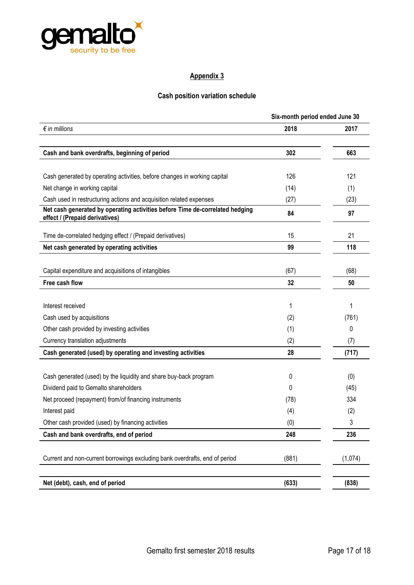

## **Cash position variation schedule**

|                                                                                                                | Six-month period ended June 30 |         |  |
|----------------------------------------------------------------------------------------------------------------|--------------------------------|---------|--|
| $\epsilon$ in millions                                                                                         | 2018                           | 2017    |  |
| Cash and bank overdrafts, beginning of period                                                                  | 302                            | 663     |  |
|                                                                                                                |                                |         |  |
| Cash generated by operating activities, before changes in working capital                                      | 126                            | 121     |  |
| Net change in working capital                                                                                  | (14)                           | (1)     |  |
| Cash used in restructuring actions and acquisition related expenses                                            | (27)                           | (23)    |  |
| Net cash generated by operating activities before Time de-correlated hedging<br>effect / (Prepaid derivatives) | 84                             | 97      |  |
| Time de-correlated hedging effect / (Prepaid derivatives)                                                      | 15                             | 21      |  |
| Net cash generated by operating activities                                                                     | 99                             | 118     |  |
| Capital expenditure and acquisitions of intangibles                                                            | (67)                           | (68)    |  |
| Free cash flow                                                                                                 | 32                             | 50      |  |
|                                                                                                                |                                |         |  |
| Interest received                                                                                              | 1                              | 1       |  |
| Cash used by acquisitions                                                                                      | (2)                            | (761)   |  |
| Other cash provided by investing activities                                                                    | (1)                            | 0       |  |
| Currency translation adjustments                                                                               | (2)                            | (7)     |  |
| Cash generated (used) by operating and investing activities                                                    | 28                             | (717)   |  |
| Cash generated (used) by the liquidity and share buy-back program                                              | 0                              | (0)     |  |
| Dividend paid to Gemalto shareholders                                                                          | 0                              | (45)    |  |
| Net proceed (repayment) from/of financing instruments                                                          | (78)                           | 334     |  |
| Interest paid                                                                                                  | (4)                            | (2)     |  |
| Other cash provided (used) by financing activities                                                             | (0)                            | 3       |  |
| Cash and bank overdrafts, end of period                                                                        | 248                            | 236     |  |
| Current and non-current borrowings excluding bank overdrafts, end of period                                    | (881)                          | (1,074) |  |
|                                                                                                                |                                |         |  |
| Net (debt), cash, end of period                                                                                | (633)                          | (838)   |  |